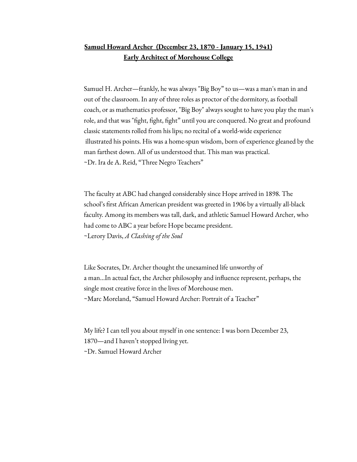# **Samuel Howard Archer (December 23, 1870 - January 15, 1941) Early Architect of Morehouse College**

Samuel H. Archer—frankly, he was always "Big Boy" to us—was a man's man in and out of the classroom. In any of three roles as proctor of the dormitory, as football coach, or as mathematics professor, "Big Boy" always sought to have you play the man's role, and that was "fight, fight, fight" until you are conquered. No great and profound classic statements rolled from his lips; no recital of a world-wide experience illustrated his points. His was a home-spun wisdom, born of experience gleaned by the man farthest down. All of us understood that. This man was practical. ~Dr. Ira de A. Reid, "Three Negro Teachers"

The faculty at ABC had changed considerably since Hope arrived in 1898. The school's first African American president was greeted in 1906 by a virtually all-black faculty. Among its members was tall, dark, and athletic Samuel Howard Archer, who had come to ABC a year before Hope became president. ~Lerory Davis, *A Clashing of the Soul*

Like Socrates, Dr. Archer thought the unexamined life unworthy of a man…In actual fact, the Archer philosophy and influence represent, perhaps, the single most creative force in the lives of Morehouse men. ~Marc Moreland, "Samuel Howard Archer: Portrait of a Teacher"

My life? I can tell you about myself in one sentence: I was born December 23, 1870—and I haven't stopped living yet. ~Dr. Samuel Howard Archer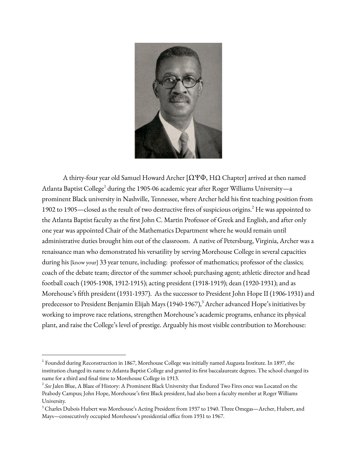

A thirty-four year old Samuel Howard Archer [ΩѰΦ, ΗΩ Chapter] arrived at then named Atlanta Baptist College<sup>1</sup> during the 1905-06 academic year after Roger Williams University—a prominent Black university in Nashville, Tennessee, where Archer held his first teaching position from 1902 to 1905—closed as the result of two destructive fires of suspicious origins. <sup>2</sup> He was appointed to the Atlanta Baptist faculty as the first John C. Martin Professor of Greek and English, and after only one year was appointed Chair of the Mathematics Department where he would remain until administrative duties brought him out of the classroom. A native of Petersburg, Virginia, Archer was a renaissance man who demonstrated his versatility by serving Morehouse College in several capacities during his [know your] 33 year tenure, including: professor of mathematics; professor of the classics; coach of the debate team; director of the summer school; purchasing agent; athletic director and head football coach (1905-1908, 1912-1915); acting president (1918-1919); dean (1920-1931); and as Morehouse's fifth president (1931-1937). As the successor to President John Hope II (1906-1931) and predecessor to President Benjamin Elijah Mays (1940-1967), <sup>3</sup> Archer advanced Hope's initiatives by working to improve race relations, strengthen Morehouse's academic programs, enhance its physical plant, and raise the College's level of prestige. Arguably his most visible contribution to Morehouse:

 $1$  Founded during Reconstruction in 1867, Morehouse College was initially named Augusta Institute. In 1897, the institution changed its name to Atlanta Baptist College and granted its first baccalaureate degrees. The school changed its name for a third and final time to Morehouse College in 1913.

<sup>2</sup> *See* Jalen Blue, A Blaze of History: A Prominent Black University that Endured Two Fires once was Located on the Peabody Campus; John Hope, Morehouse's first Black president, had also been a faculty member at Roger Williams University.

<sup>&</sup>lt;sup>3</sup> Charles Dubois Hubert was Morehouse's Acting President from 1937 to 1940. Three Omegas—Archer, Hubert, and Mays—consecutively occupied Morehouse's presidential office from 1931 to 1967.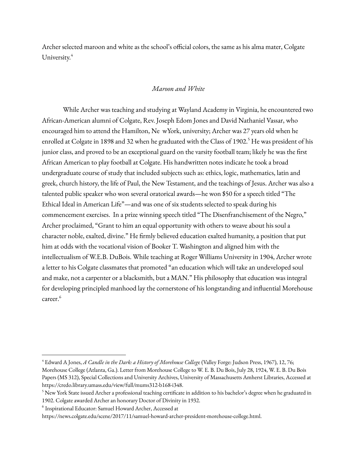Archer selected maroon and white as the school's official colors, the same as his alma mater, Colgate University.<sup>4</sup>

#### *Maroon and White*

While Archer was teaching and studying at Wayland Academy in Virginia, he encountered two African-American alumni of Colgate, Rev. Joseph Edom Jones and David Nathaniel Vassar, who encouraged him to attend the Hamilton, Ne wYork, university; Archer was 27 years old when he enrolled at Colgate in 1898 and 32 when he graduated with the Class of 1902.<sup>5</sup> He was president of his junior class, and proved to be an exceptional guard on the varsity football team; likely he was the first African American to play football at Colgate. His handwritten notes indicate he took a broad undergraduate course of study that included subjects such as: ethics, logic, mathematics, latin and greek, church history, the life of Paul, the New Testament, and the teachings of Jesus. Archer was also a talented public speaker who won several oratorical awards—he won \$50 for a speech titled "The Ethical Ideal in American Life"—and was one of six students selected to speak during his commencement exercises. In a prize winning speech titled "The Disenfranchisement of the Negro," Archer proclaimed, "Grant to him an equal opportunity with others to weave about his soul a character noble, exalted, divine." He firmly believed education exalted humanity, a position that put him at odds with the vocational vision of Booker T. Washington and aligned him with the intellectualism of W.E.B. DuBois. While teaching at Roger Williams University in 1904, Archer wrote a letter to his Colgate classmates that promoted "an education which will take an undeveloped soul and make, not a carpenter or a blacksmith, but a MAN." His philosophy that education was integral for developing principled manhood lay the cornerstone of his longstanding and influential Morehouse career. 6

<sup>4</sup> Edward A Jones, *A Candle in the Dark: a History of Morehouse Colleg*e (Valley Forge: Judson Press, 1967), 12, 76; Morehouse College (Atlanta, Ga.). Letter from Morehouse College to W. E. B. Du Bois, July 28, 1924, W. E. B. Du Bois Papers (MS 312), Special Collections and University Archives, University of Massachusetts Amherst Libraries, Accessed at https://credo.library.umass.edu/view/full/mums312-b168-i348.

 $5$  New York State issued Archer a professional teaching certificate in addition to his bachelor's degree when he graduated in 1902. Colgate awarded Archer an honorary Doctor of Divinity in 1932.

 $^6$  Inspirational Educator: Samuel Howard Archer, Accessed at

https://news.colgate.edu/scene/2017/11/samuel-howard-archer-president-morehouse-college.html.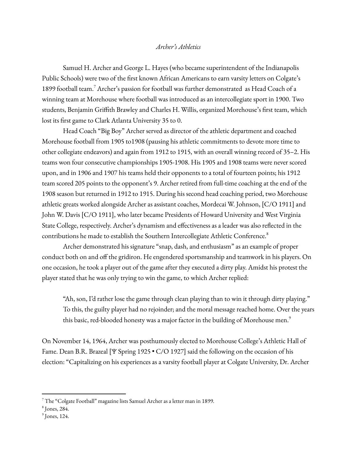#### *Archer's Athletics*

Samuel H. Archer and George L. Hayes (who became superintendent of the Indianapolis Public Schools) were two of the first known African Americans to earn varsity letters on Colgate's 1899 football team. <sup>7</sup> Archer's passion for football was further demonstrated as Head Coach of a winning team at Morehouse where football was introduced as an intercollegiate sport in 1900. Two students, Benjamin Griffith Brawley and Charles H. Willis, organized Morehouse's first team, which lost its first game to Clark Atlanta University 35 to 0.

Head Coach "Big Boy" Archer served as director of the athletic department and coached Morehouse football from 1905 to1908 (pausing his athletic commitments to devote more time to other collegiate endeavors) and again from 1912 to 1915, with an overall winning record of 35–2. His teams won four consecutive championships 1905-1908. His 1905 and 1908 teams were never scored upon, and in 1906 and 1907 his teams held their opponents to a total of fourteen points; his 1912 team scored 205 points to the opponent's 9. Archer retired from full-time coaching at the end of the 1908 season but returned in 1912 to 1915. During his second head coaching period, two Morehouse athletic greats worked alongside Archer as assistant coaches, Mordecai W. Johnson, [C/O 1911] and John W. Davis [C/O 1911], who later became Presidents of Howard University and West Virginia State College, respectively. Archer's dynamism and effectiveness as a leader was also reflected in the contributions he made to establish the Southern Intercollegiate Athletic Conference. 8

Archer demonstrated his signature "snap, dash, and enthusiasm" as an example of proper conduct both on and off the gridiron. He engendered sportsmanship and teamwork in his players. On one occasion, he took a player out of the game after they executed a dirty play. Amidst his protest the player stated that he was only trying to win the game, to which Archer replied:

"Ah, son, I'd rather lose the game through clean playing than to win it through dirty playing." To this, the guilty player had no rejoinder; and the moral message reached home. Over the years this basic, red-blooded honesty was a major factor in the building of Morehouse men. $^{\circ}$ 

On November 14, 1964, Archer was posthumously elected to Morehouse College's Athletic Hall of Fame. Dean B.R. Brazeal [Ѱ Spring 1925 • C/O 1927] said the following on the occasion of his election: "Capitalizing on his experiences as a varsity football player at Colgate University, Dr. Archer

 $7$  The "Colgate Football" magazine lists Samuel Archer as a letter man in 1899.

<sup>8</sup> Jones, 284.

 $<sup>9</sup>$  Jones, 124.</sup>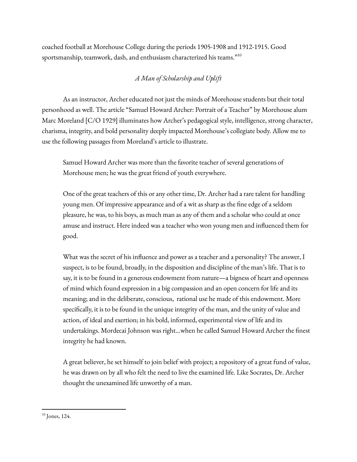coached football at Morehouse College during the periods 1905-1908 and 1912-1915. Good sportsmanship, teamwork, dash, and enthusiasm characterized his teams." $^{10}$ 

# *A Man of Scholarship and Uplift*

As an instructor, Archer educated not just the minds of Morehouse students but their total personhood as well. The article "Samuel Howard Archer: Portrait of a Teacher" by Morehouse alum Marc Moreland [C/O 1929] illuminates how Archer's pedagogical style, intelligence, strong character, charisma, integrity, and bold personality deeply impacted Morehouse's collegiate body. Allow me to use the following passages from Moreland's article to illustrate.

Samuel Howard Archer was more than the favorite teacher of several generations of Morehouse men; he was the great friend of youth everywhere.

One of the great teachers of this or any other time, Dr. Archer had a rare talent for handling young men. Of impressive appearance and of a wit as sharp as the fine edge of a seldom pleasure, he was, to his boys, as much man as any of them and a scholar who could at once amuse and instruct. Here indeed was a teacher who won young men and influenced them for good.

What was the secret of his influence and power as a teacher and a personality? The answer, I suspect, is to be found, broadly, in the disposition and discipline of the man's life. That is to say, it is to be found in a generous endowment from nature—a bigness of heart and openness of mind which found expression in a big compassion and an open concern for life and its meaning; and in the deliberate, conscious, rational use he made of this endowment. More specifically, it is to be found in the unique integrity of the man, and the unity of value and action, of ideal and exertion; in his bold, informed, experimental view of life and its undertakings. Mordecai Johnson was right…when he called Samuel Howard Archer the finest integrity he had known.

A great believer, he set himself to join belief with project; a repository of a great fund of value, he was drawn on by all who felt the need to live the examined life. Like Socrates, Dr. Archer thought the unexamined life unworthy of a man.

 $10$  Jones, 124.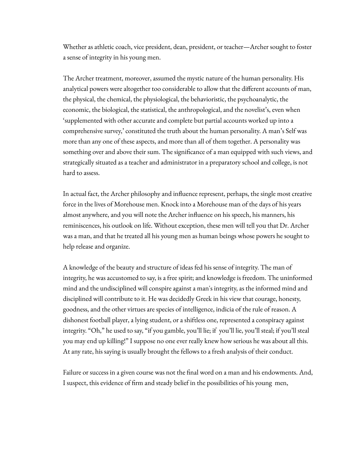Whether as athletic coach, vice president, dean, president, or teacher—Archer sought to foster a sense of integrity in his young men.

The Archer treatment, moreover, assumed the mystic nature of the human personality. His analytical powers were altogether too considerable to allow that the different accounts of man, the physical, the chemical, the physiological, the behavioristic, the psychoanalytic, the economic, the biological, the statistical, the anthropological, and the novelist's, even when 'supplemented with other accurate and complete but partial accounts worked up into a comprehensive survey,' constituted the truth about the human personality. A man's Self was more than any one of these aspects, and more than all of them together. A personality was something over and above their sum. The significance of a man equipped with such views, and strategically situated as a teacher and administrator in a preparatory school and college, is not hard to assess.

In actual fact, the Archer philosophy and influence represent, perhaps, the single most creative force in the lives of Morehouse men. Knock into a Morehouse man of the days of his years almost anywhere, and you will note the Archer influence on his speech, his manners, his reminiscences, his outlook on life. Without exception, these men will tell you that Dr. Archer was a man, and that he treated all his young men as human beings whose powers he sought to help release and organize.

A knowledge of the beauty and structure of ideas fed his sense of integrity. The man of integrity, he was accustomed to say, is a free spirit; and knowledge is freedom. The uninformed mind and the undisciplined will conspire against a man's integrity, as the informed mind and disciplined will contribute to it. He was decidedly Greek in his view that courage, honesty, goodness, and the other virtues are species of intelligence, indicia of the rule of reason. A dishonest football player, a lying student, or a shiftless one, represented a conspiracy against integrity. "Oh," he used to say, "if you gamble, you'll lie; if you'll lie, you'll steal; if you'll steal you may end up killing!" I suppose no one ever really knew how serious he was about all this. At any rate, his saying is usually brought the fellows to a fresh analysis of their conduct.

Failure or success in a given course was not the final word on a man and his endowments. And, I suspect, this evidence of firm and steady belief in the possibilities of his young men,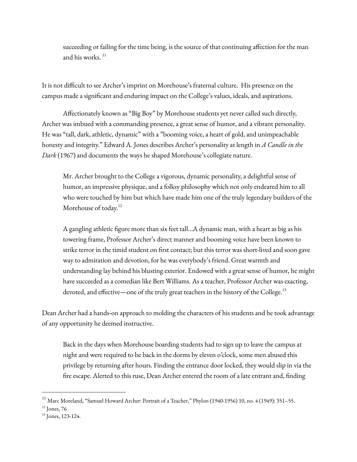succeeding or failing for the time being, is the source of that continuing affection for the man and his works. 11

It is not difficult to see Archer's imprint on Morehouse's fraternal culture. His presence on the campus made a significant and enduring impact on the College's values, ideals, and aspirations.

Affectionately known as "Big Boy" by Morehouse students yet never called such directly, Archer was imbued with a commanding presence, a great sense of humor, and a vibrant personality. He was "tall, dark, athletic, dynamic" with a "booming voice, a heart of gold, and unimpeachable honesty and integrity." Edward A. Jones describes Archer's personality at length in *A Candle in the Dark* (1967) and documents the ways he shaped Morehouse's collegiate nature.

Mr. Archer brought to the College a vigorous, dynamic personality, a delightful sense of humor, an impressive physique, and a folksy philosophy which not only endeared him to all who were touched by him but which have made him one of the truly legendary builders of the Morehouse of today.<sup>12</sup>

A gangling athletic figure more than six feet tall…A dynamic man, with a heart as big as his towering frame, Professor Archer's direct manner and booming voice have been known to strike terror in the timid student on first contact; but this terror was short-lived and soon gave way to admiration and devotion, for he was everybody's friend. Great warmth and understanding lay behind his blusting exterior. Endowed with a great sense of humor, he might have succeeded as a comedian like Bert Williams. As a teacher, Professor Archer was exacting, devoted, and effective—one of the truly great teachers in the history of the College.<sup>13</sup>

Dean Archer had a hands-on approach to molding the characters of his students and he took advantage of any opportunity he deemed instructive.

Back in the days when Morehouse boarding students had to sign up to leave the campus at night and were required to be back in the dorms by eleven o'clock, some men abused this privilege by returning after hours. Finding the entrance door locked, they would slip in via the fire escape. Alerted to this ruse, Dean Archer entered the room of a late entrant and, finding

<sup>&</sup>lt;sup>11</sup> Marc Moreland, "Samuel Howard Archer: Portrait of a Teacher," Phylon (1940-1956) 10, no. 4 (1949): 351–55.

 $12$  Jones, 76

<sup>13</sup> Jones, 123-124.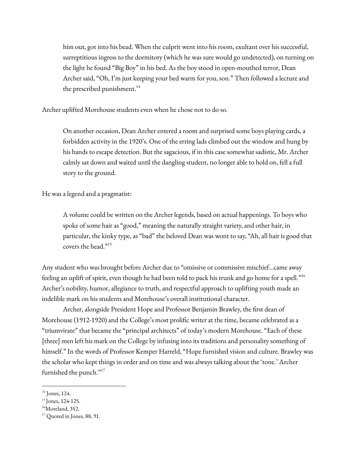him out, got into his bead. When the culprit went into his room, exultant over his successful, surreptitious ingress to the dormitory (which he was sure would go undetected), on turning on the light he found "Big Boy" in his bed. As the boy stood in open-mouthed terror, Dean Archer said, "Oh, I'm just keeping your bed warm for you, son." Then followed a lecture and the prescribed punishment.<sup>14</sup>

Archer uplifted Morehouse students even when he chose not to do so.

On another occasion, Dean Archer entered a room and surprised some boys playing cards, a forbidden activity in the 1920's. One of the erring lads climbed out the window and hung by his hands to escape detection. But the sagacious, if in this case somewhat sadistic, Mr. Archer calmly sat down and waited until the dangling student, no longer able to hold on, fell a full story to the ground.

He was a legend and a pragmatist:

A volume could be written on the Archer legends, based on actual happenings. To boys who spoke of some hair as "good," meaning the naturally straight variety, and other hair, in particular, the kinky type, as "bad" the beloved Dean was wont to say, "Ah, all hair is good that covers the head." 15

Any student who was brought before Archer due to "omissive or commissive mischief...came away feeling an uplift of spirit, even though he had been told to pack his trunk and go home for a spell." 16 Archer's nobility, humor, allegiance to truth, and respectful approach to uplifting youth made an indelible mark on his students and Morehouse's overall institutional character.

Archer, alongside President Hope and Professor Benjamin Brawley, the first dean of Morehouse (1912-1920) and the College's most prolific writer at the time, became celebrated as a "triumvirate" that became the "principal architects" of today's modern Morehouse. "Each of these [three] men left his mark on the College by infusing into its traditions and personality something of himself." In the words of Professor Kemper Harreld, "Hope furnished vision and culture. Brawley was the scholar who kept things in order and on time and was always talking about the 'tone.' Archer furnished the punch."<sup>17</sup>

 $14$  Jones, 124.

<sup>15</sup> Jones, 124-125.

<sup>&</sup>lt;sup>16</sup>Moreland, 352.

<sup>17</sup> Quoted in Jones*,* 88, 91.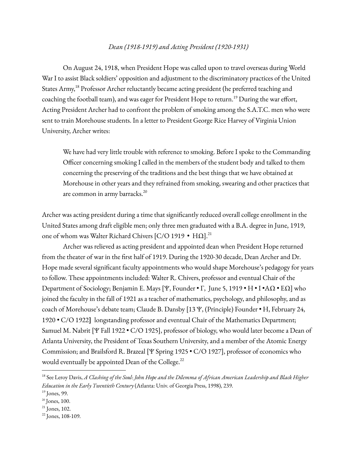### *Dean (1918-1919) and Acting President (1920-1931)*

On August 24, 1918, when President Hope was called upon to travel overseas during World War I to assist Black soldiers' opposition and adjustment to the discriminatory practices of the United States Army,<sup>18</sup> Professor Archer reluctantly became acting president (he preferred teaching and coaching the football team), and was eager for President Hope to return. <sup>19</sup> During the war effort, Acting President Archer had to confront the problem of smoking among the S.A.T.C. men who were sent to train Morehouse students. In a letter to President George Rice Harvey of Virginia Union University, Archer writes:

We have had very little trouble with reference to smoking. Before I spoke to the Commanding Officer concerning smoking I called in the members of the student body and talked to them concerning the preserving of the traditions and the best things that we have obtained at Morehouse in other years and they refrained from smoking, swearing and other practices that are common in army barracks. 20

Archer was acting president during a time that significantly reduced overall college enrollment in the United States among draft eligible men; only three men graduated with a B.A. degree in June, 1919, one of whom was Walter Richard Chivers [C/O 1919 •  $\rm{H}\Omega l^{21}$ 

Archer was relieved as acting president and appointed dean when President Hope returned from the theater of war in the first half of 1919. During the 1920-30 decade, Dean Archer and Dr. Hope made several significant faculty appointments who would shape Morehouse's pedagogy for years to follow. These appointments included: Walter R. Chivers, professor and eventual Chair of the Department of Sociology; Benjamin E. Mays [Ѱ, Founder • Γ, June 5, 1919 • Η • Ι •ΑΩ • ΕΩ] who joined the faculty in the fall of 1921 as a teacher of mathematics, psychology, and philosophy, and as coach of Morehouse's debate team; Claude B. Dansby [13 Ѱ, (Principle) Founder • Η, February 24, 1920 • C/O 1922**]** longstanding professor and eventual Chair of the Mathematics Department; Samuel M. Nabrit [Ѱ Fall 1922 • C/O 1925], professor of biology, who would later become a Dean of Atlanta University, the President of Texas Southern University, and a member of the Atomic Energy Commission; and Brailsford R. Brazeal [Ѱ Spring 1925 • C/O 1927], professor of economics who would eventually be appointed Dean of the College.<sup>22</sup>

 $^{18}$  See Leroy Davis, A Clashing of the Soul: John Hope and the Dilemma of African American Leadership and Black Higher *Education in the Early Twentieth Century* (Atlanta: Univ. of Georgia Press, 1998), 239.

 $<sup>19</sup>$  Jones, 99.</sup>

<sup>20</sup> Jones, 100.

 $21$  Jones, 102.

 $22$  Jones, 108-109.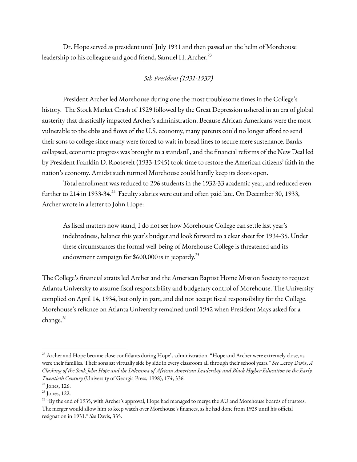Dr. Hope served as president until July 1931 and then passed on the helm of Morehouse leadership to his colleague and good friend, Samuel H. Archer.<sup>23</sup>

# *5th President (1931-1937)*

President Archer led Morehouse during one the most troublesome times in the College's history. The Stock Market Crash of 1929 followed by the Great Depression ushered in an era of global austerity that drastically impacted Archer's administration. Because African-Americans were the most vulnerable to the ebbs and flows of the U.S. economy, many parents could no longer afford to send their sons to college since many were forced to wait in bread lines to secure mere sustenance. Banks collapsed, economic progress was brought to a standstill, and the financial reforms of the New Deal led by President Franklin D. Roosevelt (1933-1945) took time to restore the American citizens' faith in the nation's economy. Amidst such turmoil Morehouse could hardly keep its doors open.

Total enrollment was reduced to 296 students in the 1932-33 academic year, and reduced even further to 214 in 1933-34.<sup>24</sup> Faculty salaries were cut and often paid late. On December 30, 1933, Archer wrote in a letter to John Hope:

As fiscal matters now stand, I do not see how Morehouse College can settle last year's indebtedness, balance this year's budget and look forward to a clear sheet for 1934-35. Under these circumstances the formal well-being of Morehouse College is threatened and its endowment campaign for \$600,000 is in jeopardy. 25

The College's financial straits led Archer and the American Baptist Home Mission Society to request Atlanta University to assume fiscal responsibility and budgetary control of Morehouse. The University complied on April 14, 1934, but only in part, and did not accept fiscal responsibility for the College. Morehouse's reliance on Atlanta University remained until 1942 when President Mays asked for a change. 26

<sup>&</sup>lt;sup>23</sup> Archer and Hope became close confidants during Hope's administration. "Hope and Archer were extremely close, as were their families. Their sons sat virtually side by side in every classroom all through their school years." *See* Leroy Davis, *A* Clashing of the Soul: John Hope and the Dilemma of African American Leadership and Black Higher Education in the Early *Twentieth Century* (University of Georgia Press, 1998), 174, 336.

 $24$  Jones, 126.

<sup>&</sup>lt;sup>25</sup> Jones, 122.

<sup>&</sup>lt;sup>26</sup> "By the end of 1935, with Archer's approval, Hope had managed to merge the AU and Morehouse boards of trustees. The merger would allow him to keep watch over Morehouse's finances, as he had done from 1929 until his official resignation in 1931." *See* Davis, 335.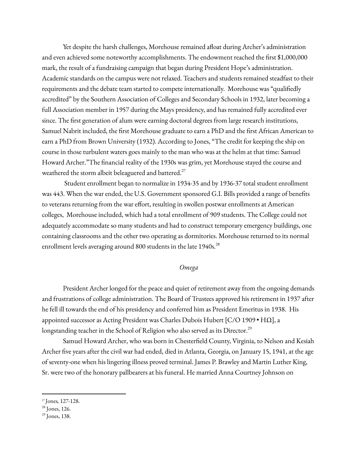Yet despite the harsh challenges, Morehouse remained afloat during Archer's administration and even achieved some noteworthy accomplishments. The endowment reached the first \$1,000,000 mark, the result of a fundraising campaign that began during President Hope's administration. Academic standards on the campus were not relaxed. Teachers and students remained steadfast to their requirements and the debate team started to compete internationally. Morehouse was "qualifiedly accredited" by the Southern Association of Colleges and Secondary Schools in 1932, later becoming a full Association member in 1957 during the Mays presidency, and has remained fully accredited ever since. The first generation of alum were earning doctoral degrees from large research institutions, Samuel Nabrit included, the first Morehouse graduate to earn a PhD and the first African American to earn a PhD from Brown University (1932). According to Jones, "The credit for keeping the ship on course in those turbulent waters goes mainly to the man who was at the helm at that time: Samuel Howard Archer."The financial reality of the 1930s was grim, yet Morehouse stayed the course and weathered the storm albeit beleaguered and battered. $27$ 

Student enrollment began to normalize in 1934-35 and by 1936-37 total student enrollment was 443. When the war ended, the U.S. Government sponsored G.I. Bills provided a range of benefits to veterans returning from the war effort, resulting in swollen postwar enrollments at American colleges, Morehouse included, which had a total enrollment of 909 students. The College could not adequately accommodate so many students and had to construct temporary emergency buildings, one containing classrooms and the other two operating as dormitories. Morehouse returned to its normal enrollment levels averaging around 800 students in the late 1940s.<sup>28</sup>

#### *Omega*

President Archer longed for the peace and quiet of retirement away from the ongoing demands and frustrations of college administration. The Board of Trustees approved his retirement in 1937 after he fell ill towards the end of his presidency and conferred him as President Emeritus in 1938. His appointed successor as Acting President was Charles Dubois Hubert [C/O 1909 • ΗΩ], a longstanding teacher in the School of Religion who also served as its Director. $^{29}$ 

Samuel Howard Archer, who was born in Chesterfield County, Virginia, to Nelson and Kesiah Archer five years after the civil war had ended, died in Atlanta, Georgia, on January 15, 1941, at the age of seventy-one when his lingering illness proved terminal. James P. Brawley and Martin Luther King, Sr. were two of the honorary pallbearers at his funeral. He married Anna Courtney Johnson on

<sup>27</sup> Jones*,* 127-128.

<sup>&</sup>lt;sup>28</sup> Jones, 126.

<sup>&</sup>lt;sup>29</sup> Jones, 138.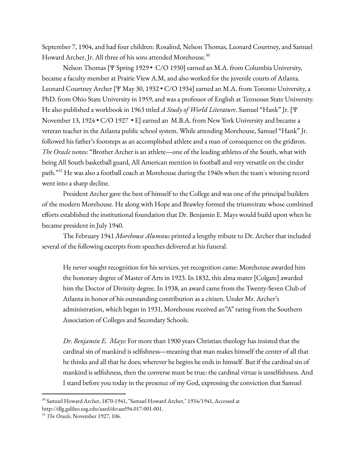September 7, 1904, and had four children: Rosalind, Nelson Thomas, Leonard Courtney, and Samuel Howard Archer, Jr. All three of his sons attended Morehouse. 30

Nelson Thomas [Ψ Spring 1929 • C/O 1930] earned an M.A. from Columbia University, became a faculty member at Prairie View A.M, and also worked for the juvenile courts of Atlanta. Leonard Courtney Archer [Ψ May 30, 1932 • C/O 1934] earned an M.A. from Toronto University, a PhD. from Ohio State University in 1959, and was a professor of English at Tennessee State University. He also published a workbook in 1963 titled *A Study of World Literature*. Samuel "Hank" Jr. [Ψ November 13, 1924 • C/O 1927 • Ε] earned an M.B.A. from New York University and became a veteran teacher in the Atlanta public school system. While attending Morehouse, Samuel "Hank" Jr. followed his father's footsteps as an accomplished athlete and a man of consequence on the gridiron. *The Oracle* notes: "Brother Archer is an athlete—one of the leading athletes of the South, what with being All South basketball guard, All American mention in football and very versatile on the cinder path."<sup>31</sup> He was also a football coach at Morehouse during the 1940s when the team's winning record went into a sharp decline.

President Archer gave the best of himself to the College and was one of the principal builders of the modern Morehouse. He along with Hope and Brawley formed the triumvirate whose combined efforts established the institutional foundation that Dr. Benjamin E. Mays would build upon when he became president in July 1940.

The February 1941 *Morehouse Alumnus* printed a lengthy tribute to Dr. Archer that included several of the following excerpts from speeches delivered at his funeral.

He never sought recognition for his services, yet recognition came: Morehouse awarded him the honorary degree of Master of Arts in 1923. In 1832, this alma mater [Colgate] awarded him the Doctor of Divinity degree. In 1938, an award came from the Twenty-Seven Club of Atlanta in honor of his outstanding contribution as a citizen. Under Mr. Archer's administration, which began in 1931, Morehouse received an"A" rating from the Southern Association of Colleges and Secondary Schools.

*Dr. Benjamin E. Mays:* For more than 1900 years Christian theology has insisted that the cardinal sin of mankind is selfishness—meaning that man makes himself the center of all that he thinks and all that he does; wherever he begins he ends in himself. But if the cardinal sin of mankind is selfishness, then the converse must be true: the cardinal virtue is unselfishness. And I stand before you today in the presence of my God, expressing the conviction that Samuel

<sup>30</sup> Samuel Howard Archer, 1870-1941, "Samuel Howard Archer," 1934/1941, Accessed at http://dlg.galileo.usg.edu/aaed/do:aarl94.017-001-001.

<sup>31</sup> *The Oracle,* November 1927, 106.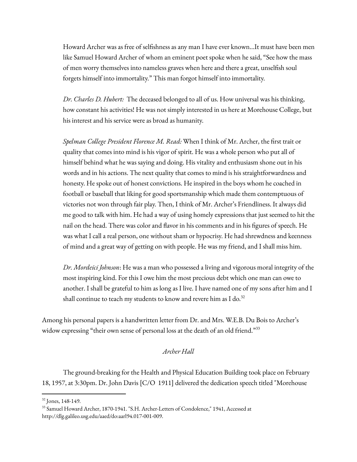Howard Archer was as free of selfishness as any man I have ever known…It must have been men like Samuel Howard Archer of whom an eminent poet spoke when he said, "See how the mass of men worry themselves into nameless graves when here and there a great, unselfish soul forgets himself into immortality." This man forgot himself into immortality.

*Dr. Charles D. Hubert:* The deceased belonged to all of us. How universal was his thinking, how constant his activities! He was not simply interested in us here at Morehouse College, but his interest and his service were as broad as humanity.

*Spelman College President Florence M. Read:* When I think of Mr. Archer, the first trait or quality that comes into mind is his vigor of spirit. He was a whole person who put all of himself behind what he was saying and doing. His vitality and enthusiasm shone out in his words and in his actions. The next quality that comes to mind is his straightforwardness and honesty. He spoke out of honest convictions. He inspired in the boys whom he coached in football or baseball that liking for good sportsmanship which made them contemptuous of victories not won through fair play. Then, I think of Mr. Archer's Friendliness. It always did me good to talk with him. He had a way of using homely expressions that just seemed to hit the nail on the head. There was color and flavor in his comments and in his figures of speech. He was what I call a real person, one without sham or hypocrisy. He had shrewdness and keenness of mind and a great way of getting on with people. He was my friend, and I shall miss him.

*Dr. Mordeici Johnson*: He was a man who possessed a living and vigorous moral integrity of the most inspiring kind. For this I owe him the most precious debt which one man can owe to another. I shall be grateful to him as long as I live. I have named one of my sons after him and I shall continue to teach my students to know and revere him as I do. $^{32}$ 

Among his personal papers is a handwritten letter from Dr. and Mrs. W.E.B. Du Bois to Archer's widow expressing "their own sense of personal loss at the death of an old friend."33

### *Archer Hall*

The ground-breaking for the Health and Physical Education Building took place on February 18, 1957, at 3:30pm. Dr. John Davis [C/O 1911] delivered the dedication speech titled "Morehouse

<sup>32</sup> Jones, 148-149.

<sup>33</sup> Samuel Howard Archer, 1870-1941. "S.H. Archer-Letters of Condolence," 1941, Accessed at http://dlg.galileo.usg.edu/aaed/do:aarl94.017-001-009.